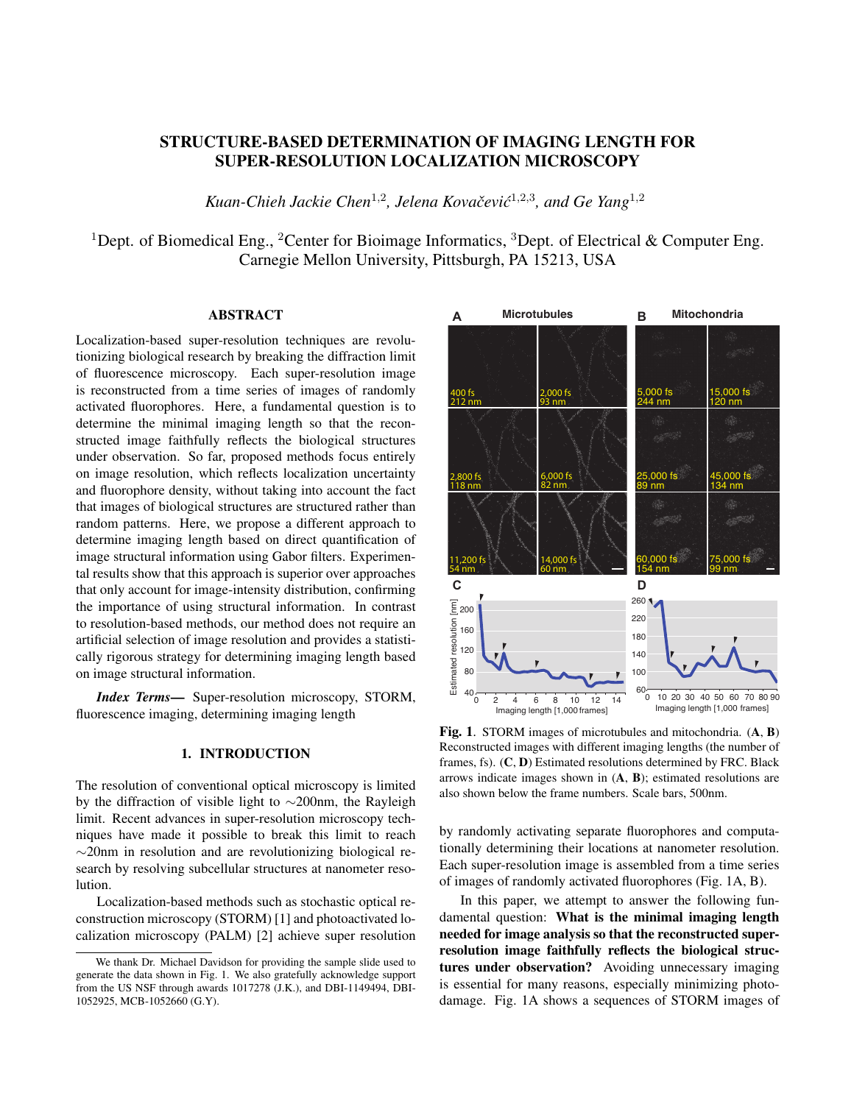# STRUCTURE-BASED DETERMINATION OF IMAGING LENGTH FOR SUPER-RESOLUTION LOCALIZATION MICROSCOPY

*Kuan-Chieh Jackie Chen*<sup>1</sup>,<sup>2</sup> *, Jelena Kovacevi ˇ c´* 1,2,3 *, and Ge Yang*<sup>1</sup>,<sup>2</sup>

<sup>1</sup>Dept. of Biomedical Eng., <sup>2</sup>Center for Bioimage Informatics, <sup>3</sup>Dept. of Electrical & Computer Eng. Carnegie Mellon University, Pittsburgh, PA 15213, USA

## ABSTRACT

Localization-based super-resolution techniques are revolutionizing biological research by breaking the diffraction limit of fluorescence microscopy. Each super-resolution image is reconstructed from a time series of images of randomly activated fluorophores. Here, a fundamental question is to determine the minimal imaging length so that the reconstructed image faithfully reflects the biological structures under observation. So far, proposed methods focus entirely on image resolution, which reflects localization uncertainty and fluorophore density, without taking into account the fact that images of biological structures are structured rather than random patterns. Here, we propose a different approach to determine imaging length based on direct quantification of image structural information using Gabor filters. Experimental results show that this approach is superior over approaches that only account for image-intensity distribution, confirming the importance of using structural information. In contrast to resolution-based methods, our method does not require an artificial selection of image resolution and provides a statistically rigorous strategy for determining imaging length based on image structural information.

*Index Terms*— Super-resolution microscopy, STORM, fluorescence imaging, determining imaging length

### 1. INTRODUCTION

The resolution of conventional optical microscopy is limited by the diffraction of visible light to ∼200nm, the Rayleigh limit. Recent advances in super-resolution microscopy techniques have made it possible to break this limit to reach ∼20nm in resolution and are revolutionizing biological research by resolving subcellular structures at nanometer resolution.

Localization-based methods such as stochastic optical reconstruction microscopy (STORM) [1] and photoactivated localization microscopy (PALM) [2] achieve super resolution



Fig. 1. STORM images of microtubules and mitochondria.  $(A, B)$ Reconstructed images with different imaging lengths (the number of frames, fs). (C, D) Estimated resolutions determined by FRC. Black arrows indicate images shown in (A, B); estimated resolutions are also shown below the frame numbers. Scale bars, 500nm.

by randomly activating separate fluorophores and computationally determining their locations at nanometer resolution. Each super-resolution image is assembled from a time series of images of randomly activated fluorophores (Fig. 1A, B).

In this paper, we attempt to answer the following fundamental question: What is the minimal imaging length needed for image analysis so that the reconstructed superresolution image faithfully reflects the biological structures under observation? Avoiding unnecessary imaging is essential for many reasons, especially minimizing photodamage. Fig. 1A shows a sequences of STORM images of

We thank Dr. Michael Davidson for providing the sample slide used to generate the data shown in Fig. 1. We also gratefully acknowledge support from the US NSF through awards 1017278 (J.K.), and DBI-1149494, DBI-1052925, MCB-1052660 (G.Y).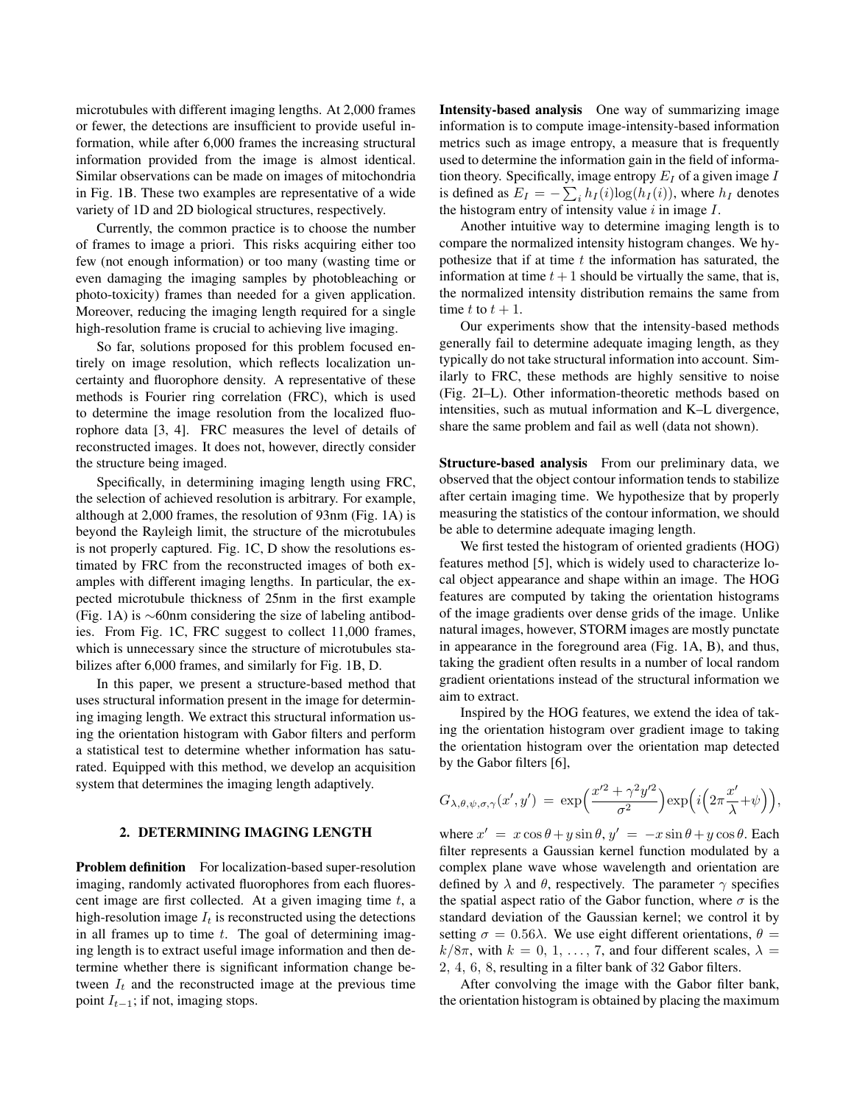microtubules with different imaging lengths. At 2,000 frames or fewer, the detections are insufficient to provide useful information, while after 6,000 frames the increasing structural information provided from the image is almost identical. Similar observations can be made on images of mitochondria in Fig. 1B. These two examples are representative of a wide variety of 1D and 2D biological structures, respectively.

Currently, the common practice is to choose the number of frames to image a priori. This risks acquiring either too few (not enough information) or too many (wasting time or even damaging the imaging samples by photobleaching or photo-toxicity) frames than needed for a given application. Moreover, reducing the imaging length required for a single high-resolution frame is crucial to achieving live imaging.

So far, solutions proposed for this problem focused entirely on image resolution, which reflects localization uncertainty and fluorophore density. A representative of these methods is Fourier ring correlation (FRC), which is used to determine the image resolution from the localized fluorophore data [3, 4]. FRC measures the level of details of reconstructed images. It does not, however, directly consider the structure being imaged.

Specifically, in determining imaging length using FRC, the selection of achieved resolution is arbitrary. For example, although at 2,000 frames, the resolution of 93nm (Fig. 1A) is beyond the Rayleigh limit, the structure of the microtubules is not properly captured. Fig. 1C, D show the resolutions estimated by FRC from the reconstructed images of both examples with different imaging lengths. In particular, the expected microtubule thickness of 25nm in the first example (Fig. 1A) is ∼60nm considering the size of labeling antibodies. From Fig. 1C, FRC suggest to collect 11,000 frames, which is unnecessary since the structure of microtubules stabilizes after 6,000 frames, and similarly for Fig. 1B, D.

In this paper, we present a structure-based method that uses structural information present in the image for determining imaging length. We extract this structural information using the orientation histogram with Gabor filters and perform a statistical test to determine whether information has saturated. Equipped with this method, we develop an acquisition system that determines the imaging length adaptively.

#### 2. DETERMINING IMAGING LENGTH

Problem definition For localization-based super-resolution imaging, randomly activated fluorophores from each fluorescent image are first collected. At a given imaging time  $t$ , a high-resolution image  $I_t$  is reconstructed using the detections in all frames up to time  $t$ . The goal of determining imaging length is to extract useful image information and then determine whether there is significant information change between  $I_t$  and the reconstructed image at the previous time point  $I_{t-1}$ ; if not, imaging stops.

Intensity-based analysis One way of summarizing image information is to compute image-intensity-based information metrics such as image entropy, a measure that is frequently used to determine the information gain in the field of information theory. Specifically, image entropy  $E_I$  of a given image  $I$ is defined as  $E_I = -\sum_i h_I(i) \log(h_I(i))$ , where  $h_I$  denotes the histogram entry of intensity value  $i$  in image  $I$ .

Another intuitive way to determine imaging length is to compare the normalized intensity histogram changes. We hypothesize that if at time  $t$  the information has saturated, the information at time  $t + 1$  should be virtually the same, that is, the normalized intensity distribution remains the same from time t to  $t + 1$ .

Our experiments show that the intensity-based methods generally fail to determine adequate imaging length, as they typically do not take structural information into account. Similarly to FRC, these methods are highly sensitive to noise (Fig. 2I–L). Other information-theoretic methods based on intensities, such as mutual information and K–L divergence, share the same problem and fail as well (data not shown).

Structure-based analysis From our preliminary data, we observed that the object contour information tends to stabilize after certain imaging time. We hypothesize that by properly measuring the statistics of the contour information, we should be able to determine adequate imaging length.

We first tested the histogram of oriented gradients (HOG) features method [5], which is widely used to characterize local object appearance and shape within an image. The HOG features are computed by taking the orientation histograms of the image gradients over dense grids of the image. Unlike natural images, however, STORM images are mostly punctate in appearance in the foreground area (Fig. 1A, B), and thus, taking the gradient often results in a number of local random gradient orientations instead of the structural information we aim to extract.

Inspired by the HOG features, we extend the idea of taking the orientation histogram over gradient image to taking the orientation histogram over the orientation map detected by the Gabor filters [6],

$$
G_{\lambda,\theta,\psi,\sigma,\gamma}(x',y') = \exp\Bigl(\frac{x'^2 + \gamma^2 y'^2}{\sigma^2}\Bigr) \exp\Bigl(i\Bigl(2\pi \frac{x'}{\lambda} + \psi\Bigr)\Bigr),
$$

where  $x' = x \cos \theta + y \sin \theta$ ,  $y' = -x \sin \theta + y \cos \theta$ . Each filter represents a Gaussian kernel function modulated by a complex plane wave whose wavelength and orientation are defined by  $\lambda$  and  $\theta$ , respectively. The parameter  $\gamma$  specifies the spatial aspect ratio of the Gabor function, where  $\sigma$  is the standard deviation of the Gaussian kernel; we control it by setting  $\sigma = 0.56\lambda$ . We use eight different orientations,  $\theta =$  $k/8\pi$ , with  $k = 0, 1, ..., 7$ , and four different scales,  $\lambda =$ 2, 4, 6, 8, resulting in a filter bank of 32 Gabor filters.

After convolving the image with the Gabor filter bank, the orientation histogram is obtained by placing the maximum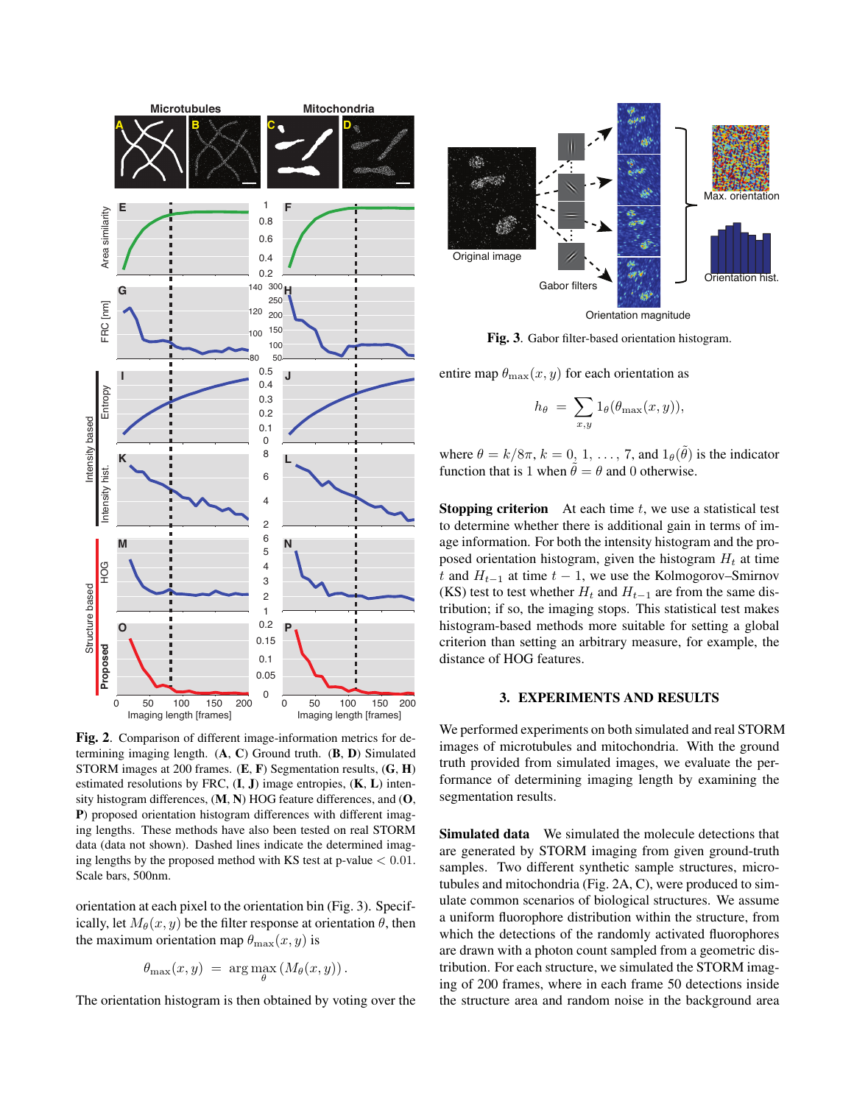

Fig. 2. Comparison of different image-information metrics for determining imaging length.  $(A, C)$  Ground truth.  $(B, D)$  Simulated STORM images at 200 frames. (E, F) Segmentation results, (G, H) estimated resolutions by FRC,  $(I, J)$  image entropies,  $(K, L)$  intensity histogram differences, (M, N) HOG feature differences, and (O, P) proposed orientation histogram differences with different imaging lengths. These methods have also been tested on real STORM data (data not shown). Dashed lines indicate the determined imaging lengths by the proposed method with KS test at p-value  $< 0.01$ . Scale bars, 500nm.

orientation at each pixel to the orientation bin (Fig. 3). Specifically, let  $M_\theta(x, y)$  be the filter response at orientation  $\theta$ , then the maximum orientation map  $\theta_{\text{max}}(x, y)$  is

$$
\theta_{\max}(x,y) = \arg\max_{\theta} (M_{\theta}(x,y)).
$$

The orientation histogram is then obtained by voting over the



Orientation magnitude

Fig. 3. Gabor filter-based orientation histogram.

entire map  $\theta_{\text{max}}(x, y)$  for each orientation as

$$
h_{\theta} = \sum_{x,y} 1_{\theta}(\theta_{\max}(x,y)),
$$

where  $\theta = k/8\pi$ ,  $k = 0, 1, ..., 7$ , and  $1_{\theta}(\tilde{\theta})$  is the indicator function that is 1 when  $\tilde{\theta} = \theta$  and 0 otherwise.

**Stopping criterion** At each time  $t$ , we use a statistical test to determine whether there is additional gain in terms of image information. For both the intensity histogram and the proposed orientation histogram, given the histogram  $H_t$  at time t and  $H_{t-1}$  at time  $t-1$ , we use the Kolmogorov–Smirnov (KS) test to test whether  $H_t$  and  $H_{t-1}$  are from the same distribution; if so, the imaging stops. This statistical test makes histogram-based methods more suitable for setting a global criterion than setting an arbitrary measure, for example, the distance of HOG features.

## 3. EXPERIMENTS AND RESULTS

We performed experiments on both simulated and real STORM images of microtubules and mitochondria. With the ground truth provided from simulated images, we evaluate the performance of determining imaging length by examining the segmentation results.

Simulated data We simulated the molecule detections that are generated by STORM imaging from given ground-truth samples. Two different synthetic sample structures, microtubules and mitochondria (Fig. 2A, C), were produced to simulate common scenarios of biological structures. We assume a uniform fluorophore distribution within the structure, from which the detections of the randomly activated fluorophores are drawn with a photon count sampled from a geometric distribution. For each structure, we simulated the STORM imaging of 200 frames, where in each frame 50 detections inside the structure area and random noise in the background area